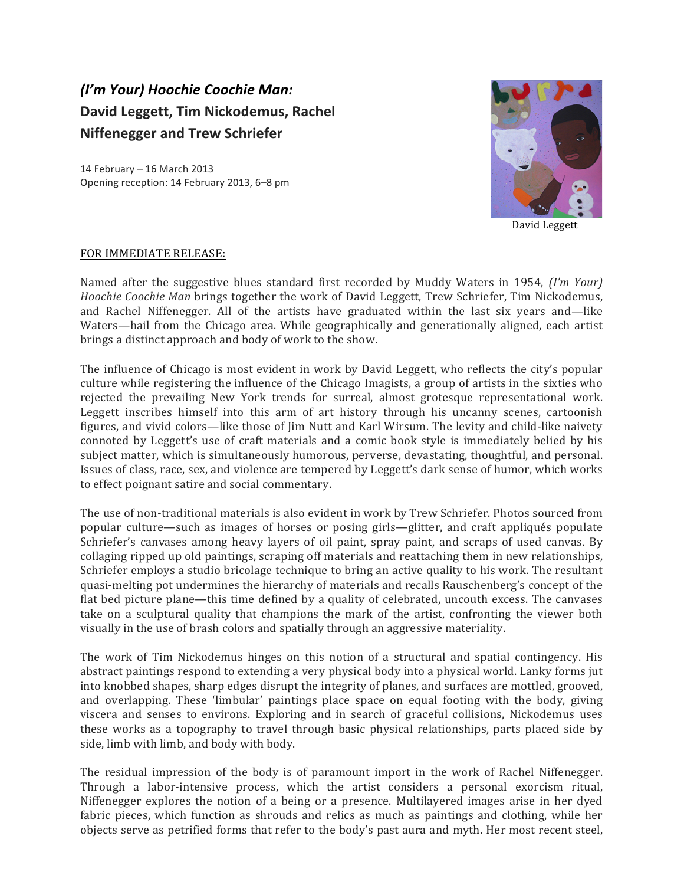## *(I'm Your) Hoochie Coochie Man:* David Leggett, Tim Nickodemus, Rachel **Niffenegger and Trew Schriefer**

14 February - 16 March 2013 Opening reception: 14 February 2013, 6-8 pm



 David Leggett

## FOR IMMEDIATE RELEASE:

Named after the suggestive blues standard first recorded by Muddy Waters in 1954, *(I'm Your) Hoochie Coochie Man* brings together the work of David Leggett, Trew Schriefer, Tim Nickodemus, and Rachel Niffenegger. All of the artists have graduated within the last six years and—like Waters—hail from the Chicago area. While geographically and generationally aligned, each artist brings a distinct approach and body of work to the show.

The influence of Chicago is most evident in work by David Leggett, who reflects the city's popular culture while registering the influence of the Chicago Imagists, a group of artists in the sixties who rejected the prevailing New York trends for surreal, almost grotesque representational work. Leggett inscribes himself into this arm of art history through his uncanny scenes, cartoonish figures, and vivid colors—like those of  $\lim$  Nutt and Karl Wirsum. The levity and child-like naivety connoted by Leggett's use of craft materials and a comic book style is immediately belied by his subject matter, which is simultaneously humorous, perverse, devastating, thoughtful, and personal. Issues of class, race, sex, and violence are tempered by Leggett's dark sense of humor, which works to effect poignant satire and social commentary.

The use of non-traditional materials is also evident in work by Trew Schriefer. Photos sourced from popular culture—such as images of horses or posing girls—glitter, and craft appliqués populate Schriefer's canvases among heavy layers of oil paint, spray paint, and scraps of used canvas. By collaging ripped up old paintings, scraping off materials and reattaching them in new relationships, Schriefer employs a studio bricolage technique to bring an active quality to his work. The resultant quasi-melting pot undermines the hierarchy of materials and recalls Rauschenberg's concept of the flat bed picture plane—this time defined by a quality of celebrated, uncouth excess. The canvases take on a sculptural quality that champions the mark of the artist, confronting the viewer both visually in the use of brash colors and spatially through an aggressive materiality.

The work of Tim Nickodemus hinges on this notion of a structural and spatial contingency. His abstract paintings respond to extending a very physical body into a physical world. Lanky forms jut into knobbed shapes, sharp edges disrupt the integrity of planes, and surfaces are mottled, grooved, and overlapping. These 'limbular' paintings place space on equal footing with the body, giving viscera and senses to environs. Exploring and in search of graceful collisions, Nickodemus uses these works as a topography to travel through basic physical relationships, parts placed side by side, limb with limb, and body with body.

The residual impression of the body is of paramount import in the work of Rachel Niffenegger. Through a labor-intensive process, which the artist considers a personal exorcism ritual, Niffenegger explores the notion of a being or a presence. Multilayered images arise in her dyed fabric pieces, which function as shrouds and relics as much as paintings and clothing, while her objects serve as petrified forms that refer to the body's past aura and myth. Her most recent steel,